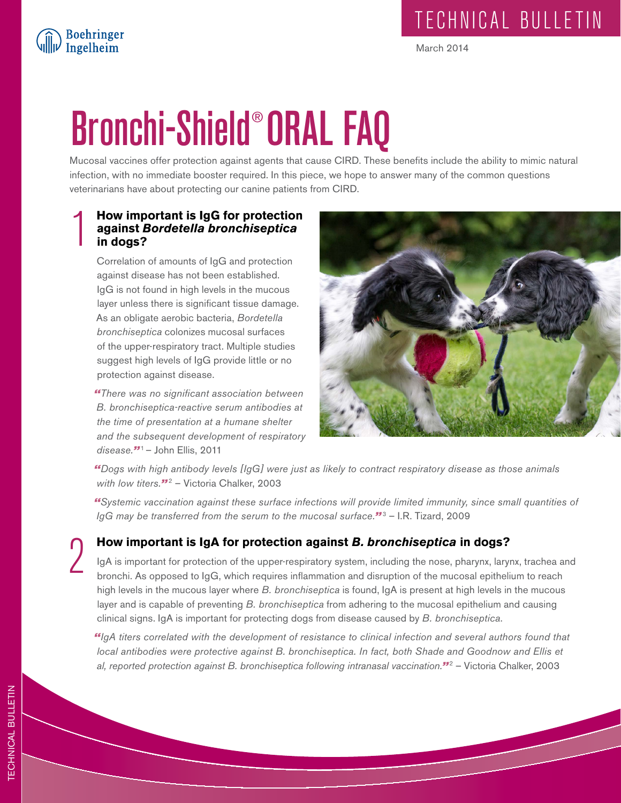# Bronchi-Shield® ORAL FAQ

Mucosal vaccines offer protection against agents that cause CIRD. These benefits include the ability to mimic natural infection, with no immediate booster required. In this piece, we hope to answer many of the common questions veterinarians have about protecting our canine patients from CIRD.

### **How important is IgG for protection**<br>against *Bordetella bronchiseptica*<br>in dogs? **against** *Bordetella bronchiseptica* **in dogs?**

Boehringer<br>Ingelheim

Correlation of amounts of IgG and protection against disease has not been established. IgG is not found in high levels in the mucous layer unless there is significant tissue damage. As an obligate aerobic bacteria, *Bordetella bronchiseptica* colonizes mucosal surfaces of the upper-respiratory tract. Multiple studies suggest high levels of IgG provide little or no protection against disease.

*"There was no significant association between B. bronchiseptica-reactive serum antibodies at the time of presentation at a humane shelter and the subsequent development of respiratory disease."*<sup>1</sup>– John Ellis, 2011



*"Dogs with high antibody levels [IgG] were just as likely to contract respiratory disease as those animals with low titers."*<sup>2</sup> – Victoria Chalker, 2003

*"Systemic vaccination against these surface infections will provide limited immunity, since small quantities of IgG may be transferred from the serum to the mucosal surface."*<sup>3</sup> – I.R. Tizard, 2009

2 **How important is IgA for protection against** *B. bronchiseptica* **in dogs?**

IgA is important for protection of the upper-respiratory system, including the nose, pharynx, larynx, trachea and bronchi. As opposed to IgG, which requires inflammation and disruption of the mucosal epithelium to reach high levels in the mucous layer where *B. bronchiseptica* is found, IgA is present at high levels in the mucous layer and is capable of preventing *B. bronchiseptica* from adhering to the mucosal epithelium and causing clinical signs. IgA is important for protecting dogs from disease caused by *B. bronchiseptica*.

*"IgA titers correlated with the development of resistance to clinical infection and several authors found that local antibodies were protective against B. bronchiseptica. In fact, both Shade and Goodnow and Ellis et al, reported protection against B. bronchiseptica following intranasal vaccination."*<sup>2</sup> – Victoria Chalker, 2003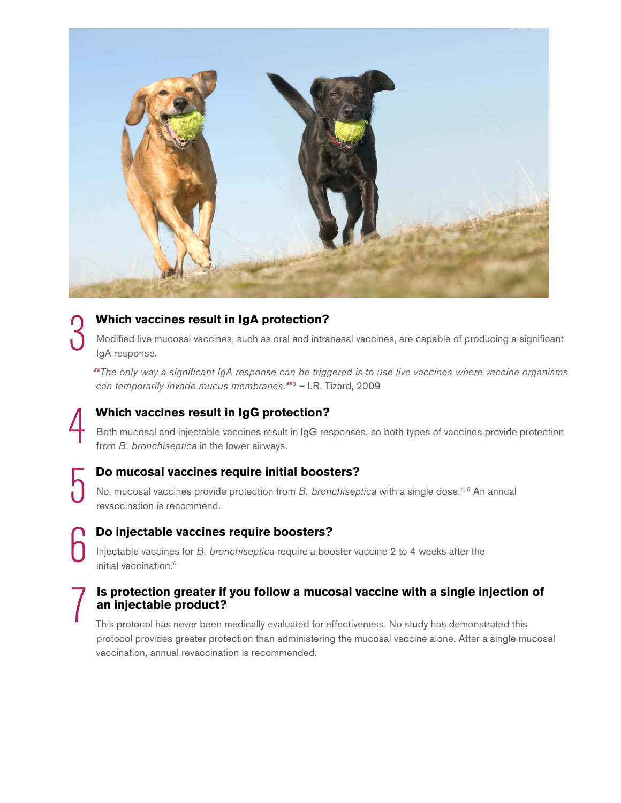

### 3 **Which vaccines result in IgA protection?**

4 **Which vaccines result in IgG protection?**

Modified-live mucosal vaccines, such as oral and intranasal vaccines, are capable of producing a significant IgA response.

*"The only way a significant IgA response can be triggered is to use live vaccines where vaccine organisms can temporarily invade mucus membranes."*<sup>3</sup> – I.R. Tizard, 2009

Both mucosal and injectable vaccines result in IgG responses, so both types of vaccines provide protection from *B. bronchiseptica* in the lower airways.

5 **Do mucosal vaccines require initial boosters?** No, mucosal vaccines provide protection from *B. bronchiseptica* with a single dose.<sup>4,5</sup> An annual revaccination is recommend.

**Do injectable vaccines require boosters?**

6

Injectable vaccines for *B. bronchiseptica* require a booster vaccine 2 to 4 weeks after the initial vaccination.<sup>6</sup>

### 7 **Is protection greater if you follow a mucosal vaccine with a single injection of an injectable product?**

This protocol has never been medically evaluated for effectiveness. No study has demonstrated this protocol provides greater protection than administering the mucosal vaccine alone. After a single mucosal vaccination, annual revaccination is recommended.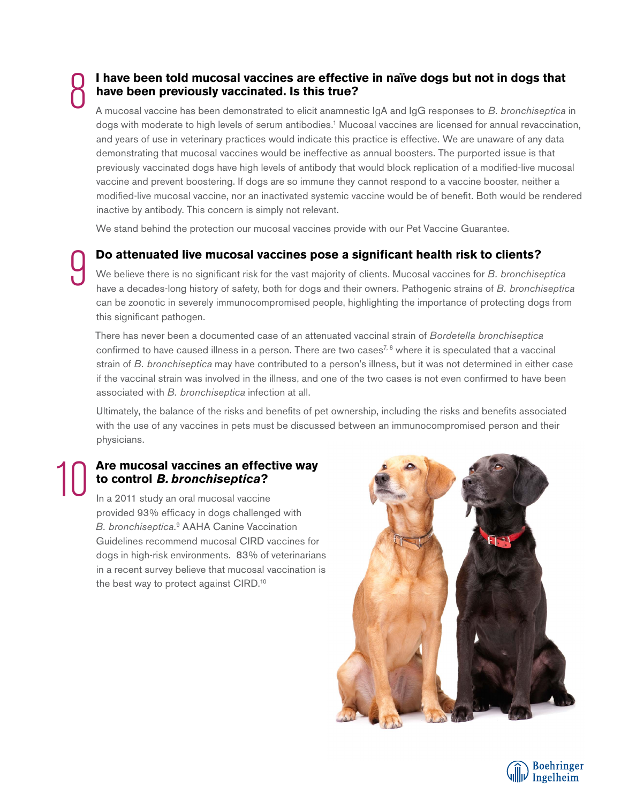## 8

9

### **I have been told mucosal vaccines are effective in naïve dogs but not in dogs that have been previously vaccinated. Is this true?**

A mucosal vaccine has been demonstrated to elicit anamnestic IgA and IgG responses to *B. bronchiseptica* in dogs with moderate to high levels of serum antibodies.<sup>1</sup> Mucosal vaccines are licensed for annual revaccination, and years of use in veterinary practices would indicate this practice is effective. We are unaware of any data demonstrating that mucosal vaccines would be ineffective as annual boosters. The purported issue is that previously vaccinated dogs have high levels of antibody that would block replication of a modified-live mucosal vaccine and prevent boostering. If dogs are so immune they cannot respond to a vaccine booster, neither a modified-live mucosal vaccine, nor an inactivated systemic vaccine would be of benefit. Both would be rendered inactive by antibody. This concern is simply not relevant.

We stand behind the protection our mucosal vaccines provide with our Pet Vaccine Guarantee.

**Do attenuated live mucosal vaccines pose a significant health risk to clients?**

We believe there is no significant risk for the vast majority of clients. Mucosal vaccines for *B. bronchiseptica* have a decades-long history of safety, both for dogs and their owners. Pathogenic strains of *B. bronchiseptica* can be zoonotic in severely immunocompromised people, highlighting the importance of protecting dogs from this significant pathogen.

There has never been a documented case of an attenuated vaccinal strain of *Bordetella bronchiseptica* confirmed to have caused illness in a person. There are two cases<sup>7, 8</sup> where it is speculated that a vaccinal strain of *B. bronchiseptica* may have contributed to a person's illness, but it was not determined in either case if the vaccinal strain was involved in the illness, and one of the two cases is not even confirmed to have been associated with *B. bronchiseptica* infection at all.

Ultimately, the balance of the risks and benefits of pet ownership, including the risks and benefits associated with the use of any vaccines in pets must be discussed between an immunocompromised person and their physicians.

### Are mucosal vaccines an effective way **to control** *B. bronchiseptica***?**

In a 2011 study an oral mucosal vaccine provided 93% efficacy in dogs challenged with B. bronchiseptica.<sup>9</sup> AAHA Canine Vaccination Guidelines recommend mucosal CIRD vaccines for dogs in high-risk environments. 83% of veterinarians in a recent survey believe that mucosal vaccination is the best way to protect against CIRD.10